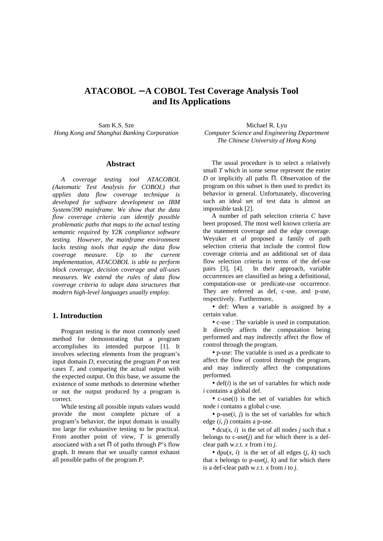# **ATACOBOL** − **A COBOL Test Coverage Analysis Tool and Its Applications**

Sam K.S. Sze *Hong Kong and Shanghai Banking Corporation*

#### **Abstract**

*A coverage testing tool ATACOBOL (Automatic Test Analysis for COBOL) that applies data flow coverage technique is developed for software development on IBM System/390 mainframe. We show that the data flow coverage criteria can identify possible problematic paths that maps to the actual testing semantic required by Y2K compliance software testing. However, the mainframe environment lacks testing tools that equip the data flow coverage measure. Up to the current implementation, ATACOBOL is able to perform block coverage, decision coverage and all-uses measures. We extend the rules of data flow coverage criteria to adapt data structures that modern high-level languages usually employ.*

### **1. Introduction**

Program testing is the most commonly used method for demonstrating that a program accomplishes its intended purpose [1]. It involves selecting elements from the program's input domain *D*, executing the program *P* on test cases *T*, and comparing the actual output with the expected output. On this base, we assume the existence of some methods to determine whether or not the output produced by a program is correct.

While testing all possible inputs values would provide the most complete picture of a program's behavior, the input domain is usually too large for exhaustive testing to be practical. From another point of view, *T* is generally associated with a set  $\Pi$  of paths through *P*'s flow graph. It means that we usually cannot exhaust all possible paths of the program *P*.

Michael R. Lyu *Computer Science and Engineering Department The Chinese University of Hong Kong*

The usual procedure is to select a relatively small *T* which in some sense represent the entire *D* or implicitly all paths Π. Observation of the program on this subset is then used to predict its behavior in general. Unfortunately, discovering such an ideal set of test data is almost an impossible task [2].

A number of path selection criteria *C* have been proposed. The most well known criteria are the statement coverage and the edge coverage. Weyuker *et al* proposed a family of path selection criteria that include the control flow coverage criteria and an additional set of data flow selection criteria in terms of the def-use pairs [3], [4]. In their approach, variable occurrences are classified as being a definitional, computation-use or predicate-use occurrence. They are referred as def, c-use, and p-use, respectively. Furthermore,

• def: When a variable is assigned by a certain value.

• c-use : The variable is used in computation. It directly affects the computation being performed and may indirectly affect the flow of control through the program.

• p-use: The variable is used as a predicate to affect the flow of control through the program, and may indirectly affect the computations performed.

 $\bullet$  def( $i$ ) is the set of variables for which node *i* contains a global def.

• c-use(*i*) is the set of variables for which node *i* contains a global c-use.

•  $p$ -use(*i*, *j*) is the set of variables for which edge (*i*, *j*) contains a p-use.

• dcu $(x, i)$  is the set of all nodes *j* such that *x* belongs to  $c$ -use $(j)$  and for which there is a defclear path w.r.t. *x* from *i* to *j*.

• dpu $(x, i)$  is the set of all edges  $(i, k)$  such that *x* belongs to p-use( $i$ ,  $k$ ) and for which there is a def-clear path w.r.t. *x* from *i* to *j*.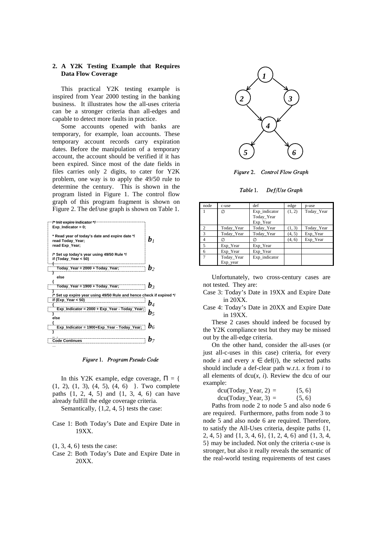### **2. A Y2K Testing Example that Requires Data Flow Coverage**

This practical Y2K testing example is inspired from Year 2000 testing in the banking business. It illustrates how the all-uses criteria can be a stronger criteria than all-edges and capable to detect more faults in practice.

Some accounts opened with banks are temporary, for example, loan accounts. These temporary account records carry expiration dates. Before the manipulation of a temporary account, the account should be verified if it has been expired. Since most of the date fields in files carries only 2 digits, to cater for Y2K problem, one way is to apply the 49/50 rule to determine the century. This is shown in the program listed in Figure 1. The control flow graph of this program fragment is shown on Figure 2. The def/use graph is shown on Table 1.



Figure 1. Program Pseudo Code

In this Y2K example, edge coverage,  $\Pi = \{$ (1, 2), (1, 3), (4, 5), (4, 6) }. Two complete paths {1, 2, 4, 5} and {1, 3, 4, 6} can have already fulfill the edge coverage criteria.

Semantically, {1,2, 4, 5} tests the case:

Case 1: Both Today's Date and Expire Date in 19XX.

- (1, 3, 4, 6} tests the case:
- Case 2: Both Today's Date and Expire Date in 20XX.



Figure 2. Control Flow Graph

Table 1. Def/Use Graph

| node           | c-use      | def           | edge   | p-use      |
|----------------|------------|---------------|--------|------------|
|                | Ø          | Exp_indicator | (1, 2) | Today_Year |
|                |            | Today_Year    |        |            |
|                |            | Exp_Year      |        |            |
| 2              | Today_Year | Today_Year    | (1, 3) | Today_Year |
| 3              | Today_Year | Today_Year    | (4, 5) | Exp_Year   |
| $\overline{4}$ |            | Ø             | (4, 6) | Exp_Year   |
| 5              | Exp_Year   | Exp_Year      |        |            |
| 6              | Exp Year   | Exp Year      |        |            |
|                | Today_Year | Exp_indicator |        |            |
|                | Exp_year   |               |        |            |

Unfortunately, two cross-century cases are not tested. They are:

- Case 3: Today's Date in 19XX and Expire Date in 20XX.
- Case 4: Today's Date in 20XX and Expire Date in 19XX.

These 2 cases should indeed be focused by the Y2K compliance test but they may be missed out by the all-edge criteria.

On the other hand, consider the all-uses (or just all-c-uses in this case) criteria, for every node *i* and every  $x \in \text{def}(i)$ , the selected paths should include a def-clear path w.r.t. *x* from *i* to all elements of  $dcu(x, i)$ . Review the dcu of our example:

| $dcu(Today_Year, 2) =$ | $\{5, 6\}$ |
|------------------------|------------|
| $dcu(Today_Year, 3) =$ | $\{5, 6\}$ |

Paths from node 2 to node 5 and also node 6 are required. Furthermore, paths from node 3 to node 5 and also node 6 are required. Therefore, to satisfy the All-Uses criteria, despite paths {1, 2, 4, 5} and {1, 3, 4, 6}, {1, 2, 4, 6} and {1, 3, 4, 5} may be included. Not only the criteria c-use is stronger, but also it really reveals the semantic of the real-world testing requirements of test cases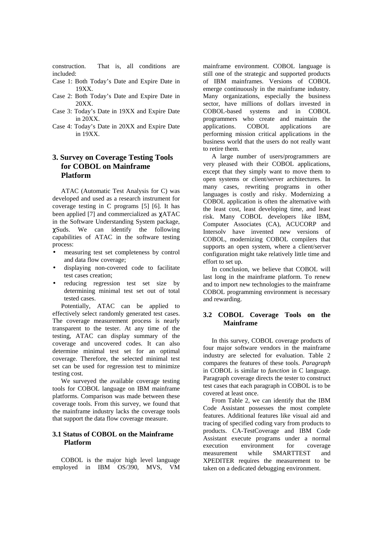construction. That is, all conditions are included:

- Case 1: Both Today's Date and Expire Date in 19XX.
- Case 2: Both Today's Date and Expire Date in 20XX.
- Case 3: Today's Date in 19XX and Expire Date in 20XX.
- Case 4: Today's Date in 20XX and Expire Date in 19XX.

## **3. Survey on Coverage Testing Tools for COBOL on Mainframe Platform**

ATAC (Automatic Test Analysis for C) was developed and used as a research instrument for coverage testing in C programs [5] [6]. It has been applied [7] and commercialized as χATAC in the Software Understanding System package, χSuds. We can identify the following capabilities of ATAC in the software testing process:

- measuring test set completeness by control and data flow coverage;
- displaying non-covered code to facilitate test cases creation;
- reducing regression test set size by determining minimal test set out of total tested cases.

Potentially, ATAC can be applied to effectively select randomly generated test cases. The coverage measurement process is nearly transparent to the tester. At any time of the testing, ATAC can display summary of the coverage and uncovered codes. It can also determine minimal test set for an optimal coverage. Therefore, the selected minimal test set can be used for regression test to minimize testing cost.

We surveyed the available coverage testing tools for COBOL language on IBM mainframe platforms. Comparison was made between these coverage tools. From this survey, we found that the mainframe industry lacks the coverage tools that support the data flow coverage measure.

### **3.1 Status of COBOL on the Mainframe Platform**

COBOL is the major high level language employed in IBM OS/390, MVS, VM mainframe environment. COBOL language is still one of the strategic and supported products of IBM mainframes. Versions of COBOL emerge continuously in the mainframe industry. Many organizations, especially the business sector, have millions of dollars invested in COBOL-based systems and in COBOL programmers who create and maintain the applications. COBOL applications are performing mission critical applications in the business world that the users do not really want to retire them.

A large number of users/programmers are very pleased with their COBOL applications, except that they simply want to move them to open systems or client/server architectures. In many cases, rewriting programs in other languages is costly and risky. Modernizing a COBOL application is often the alternative with the least cost, least developing time, and least risk. Many COBOL developers like IBM, Computer Associates (CA), ACUCORP and Intersolv have invented new versions of COBOL, modernizing COBOL compilers that supports an open system, where a client/server configuration might take relatively little time and effort to set up.

In conclusion, we believe that COBOL will last long in the mainframe platform. To renew and to import new technologies to the mainframe COBOL programming environment is necessary and rewarding.

## **3.2 COBOL Coverage Tools on the Mainframe**

In this survey, COBOL coverage products of four major software vendors in the mainframe industry are selected for evaluation. Table 2 compares the features of these tools. *Paragraph* in COBOL is similar to *function* in C language. Paragraph coverage directs the tester to construct test cases that each paragraph in COBOL is to be covered at least once.

From Table 2, we can identify that the IBM Code Assistant possesses the most complete features. Additional features like visual aid and tracing of specified coding vary from products to products. CA-TestCoverage and IBM Code Assistant execute programs under a normal execution environment for coverage measurement while SMARTTEST and XPEDITER requires the measurement to be taken on a dedicated debugging environment.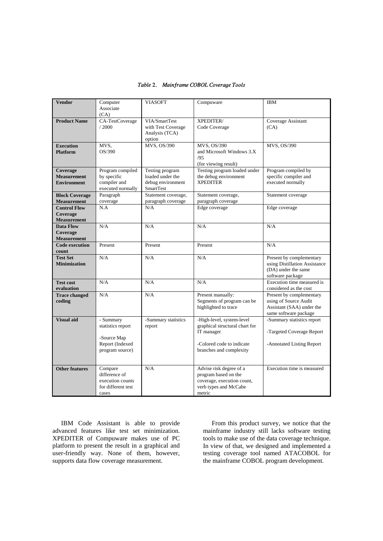| <b>Vendor</b>                                         | Computer                                                                            | <b>VIASOFT</b>                                                               | Compuware                                                                                                                         | <b>IBM</b>                                                                                              |
|-------------------------------------------------------|-------------------------------------------------------------------------------------|------------------------------------------------------------------------------|-----------------------------------------------------------------------------------------------------------------------------------|---------------------------------------------------------------------------------------------------------|
|                                                       | Associate                                                                           |                                                                              |                                                                                                                                   |                                                                                                         |
| <b>Product Name</b>                                   | (CA)<br>CA-TestCoverage<br>/2000                                                    | VIA/SmartTest<br>with Test Coverage<br>Analysis (TCA)<br>option              | XPEDITER/<br>Code Coverage                                                                                                        | Coverage Assistant<br>(CA)                                                                              |
| <b>Execution</b><br><b>Platform</b>                   | MVS,<br>OS/390                                                                      | MVS, OS/390                                                                  | MVS, OS/390<br>and Microsoft Windows 3.X<br>/95<br>(for viewing result)                                                           | MVS, OS/390                                                                                             |
| Coverage<br><b>Measurement</b><br><b>Environment</b>  | Program compiled<br>by specific<br>compiler and<br>executed normally                | Testing program<br>loaded under the<br>debug environment<br><b>SmartTest</b> | Testing program loaded under<br>the debug environment<br><b>XPEDITER</b>                                                          | Program compiled by<br>specific compiler and<br>executed normally                                       |
| <b>Block Coverage</b><br><b>Measurement</b>           | Paragraph<br>coverage                                                               | Statement coverage,<br>paragraph coverage                                    | Statement coverage,<br>paragraph coverage                                                                                         | Statement coverage                                                                                      |
| <b>Control Flow</b><br>Coverage<br><b>Measurement</b> | N.A                                                                                 | N/A                                                                          | Edge coverage                                                                                                                     | Edge coverage                                                                                           |
| Data Flow<br>Coverage<br><b>Measurement</b>           | N/A                                                                                 | N/A                                                                          | N/A                                                                                                                               | N/A                                                                                                     |
| <b>Code execution</b><br>count                        | Present                                                                             | Present                                                                      | Present                                                                                                                           | N/A                                                                                                     |
| <b>Test Set</b><br><b>Minimization</b>                | N/A                                                                                 | N/A                                                                          | N/A                                                                                                                               | Present by complementary<br>using Distillation Assistance<br>(DA) under the same<br>software package    |
| <b>Test cost</b><br>evaluation                        | N/A                                                                                 | N/A                                                                          | N/A                                                                                                                               | Execution time measured is<br>considered as the cost                                                    |
| <b>Trace changed</b><br>coding                        | N/A                                                                                 | N/A                                                                          | Present manually:<br>Segments of program can be<br>highlighted to trace                                                           | Present by complementary<br>using of Source Audit<br>Assistant (SAA) under the<br>same software package |
| <b>Visual aid</b>                                     | - Summary<br>statistics report<br>-Source Map<br>Report (Indexed<br>program source) | -Summary statistics<br>report                                                | -High-level, system-level<br>graphical structural chart for<br>IT manager<br>-Colored code to indicate<br>branches and complexity | -Summary statistics report<br>-Targeted Coverage Report<br>-Annotated Listing Report                    |
| <b>Other features</b>                                 | Compare<br>difference of<br>execution counts<br>for different test<br>cases         | N/A                                                                          | Advise risk degree of a<br>program based on the<br>coverage, execution count,<br>verb types and McCabe<br>metric                  | Execution time is measured                                                                              |

## Table 2. Mainframe COBOL Coverage Tools

IBM Code Assistant is able to provide advanced features like test set minimization. XPEDITER of Compuware makes use of PC platform to present the result in a graphical and user-friendly way. None of them, however, supports data flow coverage measurement.

From this product survey, we notice that the mainframe industry still lacks software testing tools to make use of the data coverage technique. In view of that, we designed and implemented a testing coverage tool named ATACOBOL for the mainframe COBOL program development.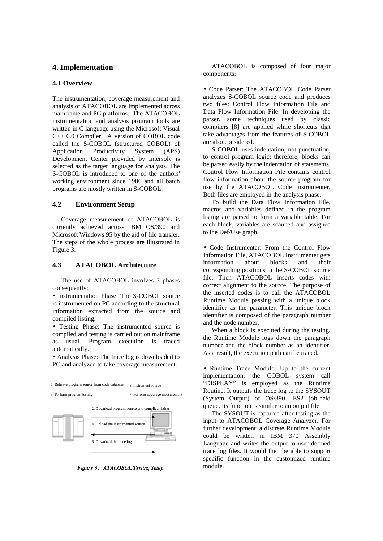### **4. Implementation**

#### **4.1 Overview**

The instrumentation, coverage measurement and analysis of ATACOBOL are implemented across mainframe and PC platforms. The ATACOBOL instrumentation and analysis program tools are written in C language using the Microsoft Visual C++ 6.0 Compiler. A version of COBOL code called the S-COBOL (structured COBOL) of Application Productivity System (APS) Development Center provided by Intersolv is selected as the target language for analysis. The S-COBOL is introduced to one of the authors' working environment since 1986 and all batch programs are mostly written in S-COBOL.

#### **4.2 Environment Setup**

Coverage measurement of ATACOBOL is currently achieved across IBM OS/390 and Microsoft Windows 95 by the aid of file transfer. The steps of the whole process are illustrated in Figure 3.

#### **4.3 ATACOBOL Architecture**

The use of ATACOBOL involves 3 phases consequently:

• Instrumentation Phase: The S-COBOL source is instrumented on PC according to the structural information extracted from the source and compiled listing.

• Testing Phase: The instrumented source is compiled and testing is carried out on mainframe as usual. Program execution is traced automatically.

• Analysis Phase: The trace log is downloaded to PC and analyzed to take coverage measurement.



Figure 3. ATACOBOL Testing Setup

ATACOBOL is composed of four major components:

• Code Parser: The ATACOBOL Code Parser analyzes S-COBOL source code and produces two files: Control Flow Information File and Data Flow Information File. In developing the parser, some techniques used by classic compilers [8] are applied while shortcuts that take advantages from the features of S-COBOL are also considered.

S-COBOL uses indentation, not punctuation, to control program logic; therefore, blocks can be parsed easily by the indentation of statements. Control Flow Information File contains control flow information about the source program for use by the ATACOBOL Code Instrumenter. Both files are employed in the analysis phase.

To build the Data Flow Information File, macros and variables defined in the program listing are parsed to form a variable table. For each block, variables are scanned and assigned to the Def/Use graph.

• Code Instrumenter: From the Control Flow Information File, ATACOBOL Instrumenter gets information about blocks and their corresponding positions in the S-COBOL source file. Then ATACOBOL inserts codes with correct alignment to the source. The purpose of the inserted codes is to call the ATACOBOL Runtime Module passing with a unique block identifier as the parameter. This unique block identifier is composed of the paragraph number and the node number.

When a block is executed during the testing, the Runtime Module logs down the paragraph number and the block number as an identifier. As a result, the execution path can be traced.

• Runtime Trace Module: Up to the current implementation, the COBOL system call "DISPLAY" is employed as the Runtime Routine. It outputs the trace log to the SYSOUT (System Output) of OS/390 JES2 job-held queue. Its function is similar to an output file.

The SYSOUT is captured after testing as the input to ATACOBOL Coverage Analyzer. For further development, a discrete Runtime Module could be written in IBM 370 Assembly Language and writes the output to user defined trace log files. It would then be able to support specific function in the customized runtime module.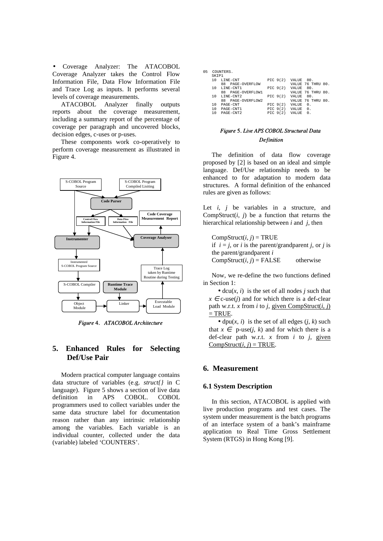• Coverage Analyzer: The ATACOBOL Coverage Analyzer takes the Control Flow Information File, Data Flow Information File and Trace Log as inputs. It performs several levels of coverage measurements.

ATACOBOL Analyzer finally outputs reports about the coverage measurement, including a summary report of the percentage of coverage per paragraph and uncovered blocks, decision edges, c-uses or p-uses.

These components work co-operatively to perform coverage measurement as illustrated in Figure 4.



Figure 4. ATACOBOL Architecture

## **5. Enhanced Rules for Selecting Def/Use Pair**

Modern practical computer language contains data structure of variables (e.g. *struct{}* in C language). Figure 5 shows a section of live data definition in APS COBOL. COBOL programmers used to collect variables under the same data structure label for documentation reason rather than any intrinsic relationship among the variables. Each variable is an individual counter, collected under the data (variable) labeled 'COUNTERS'.

05 COUNTERS.

| SKTP1 |                   |            |              |                   |     |
|-------|-------------------|------------|--------------|-------------------|-----|
| 10    | LINE-CNT          | PIC $9(2)$ | VALUE        | 80.               |     |
|       | 88 PAGE-OVERFLOW  |            |              | VALUE 76 THRU 80. |     |
| 10    | LINE-CNT1         | PIC $9(2)$ | VALUE 80.    |                   |     |
|       | 88 PAGE-OVERFLOW1 |            |              | VALUE 76 THRU     | 80. |
| 10    | LINE-CNT2         | PIC $9(2)$ | VALUE        | 80.               |     |
|       | 88 PAGE-OVERFLOW2 |            |              | VALUE 76 THRU     | 80. |
| 10    | PAGE-CNT          | PIC $9(2)$ | VALUE        | $\Omega$ .        |     |
| 10    | PAGE-CNT1         | PIC $9(2)$ | VALUE        | $\Omega$ .        |     |
| 10    | PAGE-CNT2         | PIC $9(2)$ | <b>VALUE</b> | 0.                |     |
|       |                   |            |              |                   |     |

## Figure 5. Live APS COBOL Structural Data Definition

The definition of data flow coverage proposed by [2] is based on an ideal and simple language. Def/Use relationship needs to be enhanced to for adaptation to modern data structures. A formal definition of the enhanced rules are given as follows:

Let  $i$ ,  $j$  be variables in a structure, and CompStruct $(i, j)$  be a function that returns the hierarchical relationship between *i* and *j*, then

 $CompStruct(i, j) = TRUE$ if  $i = j$ , or *i* is the parent/grandparent *i*, or *i* is the parent/grandparent *i*  $CompStruct(i, j) = FALSE$  otherwise

Now, we re-define the two functions defined in Section 1:

 $\bullet$  dcu(*x*, *i*) is the set of all nodes *j* such that  $x \in c$ -use(*j*) and for which there is a def-clear path w.r.t. *x* from *i* to *j*, given CompStruct(*i*, *j*)  $=$  TRUE.

• dpu $(x, i)$  is the set of all edges  $(i, k)$  such that  $x \in p$ -use(*j*, *k*) and for which there is a def-clear path w.r.t. *x* from *i* to *j*, given  $CompStruct(i, j) = TRUE.$ 

## **6. Measurement**

#### **6.1 System Description**

In this section, ATACOBOL is applied with live production programs and test cases. The system under measurement is the batch programs of an interface system of a bank's mainframe application to Real Time Gross Settlement System (RTGS) in Hong Kong [9].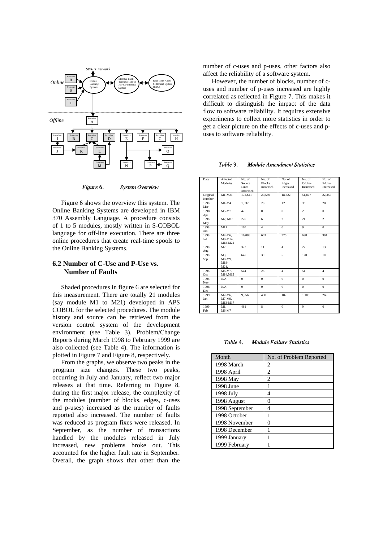

Figure 6. System Overview

Figure 6 shows the overview this system. The Online Banking Systems are developed in IBM 370 Assembly Language. A procedure consists of 1 to 5 modules, mostly written in S-COBOL language for off-line execution. There are three online procedures that create real-time spools to the Online Banking Systems.

## **6.2 Number of C-Use and P-Use vs. Number of Faults**

Shaded procedures in figure 6 are selected for this measurement. There are totally 21 modules (say module M1 to M21) developed in APS COBOL for the selected procedures. The module history and source can be retrieved from the version control system of the development environment (see Table 3). Problem/Change Reports during March 1998 to February 1999 are also collected (see Table 4). The information is plotted in Figure 7 and Figure 8, respectively.

From the graphs, we observe two peaks in the program size changes. These two peaks, occurring in July and January, reflect two major releases at that time. Referring to Figure 8, during the first major release, the complexity of the modules (number of blocks, edges, c-uses and p-uses) increased as the number of faults reported also increased. The number of faults was reduced as program fixes were released. In September, as the number of transactions handled by the modules released in July increased, new problems broke out. This accounted for the higher fault rate in September. Overall, the graph shows that other than the

number of c-uses and p-uses, other factors also affect the reliability of a software system.

However, the number of blocks, number of cuses and number of p-uses increased are highly correlated as reflected in Figure 7. This makes it difficult to distinguish the impact of the data flow to software reliability. It requires extensive experiments to collect more statistics in order to get a clear picture on the effects of c-uses and puses to software reliability.

Table 3. Module Amendment Statistics

| Date               | Affected<br>Modules           | No. of<br>Source<br>Lines<br>Increased | No. of<br><b>Blocks</b><br>Increased | No. of<br>Edges<br>Increased | No. of<br>C-Uses<br>Increased | No. of<br>P-Uses<br>Increased |
|--------------------|-------------------------------|----------------------------------------|--------------------------------------|------------------------------|-------------------------------|-------------------------------|
| Original<br>Number | $M1-M21$                      | 172.641                                | 29,586                               | 18,622                       | 51,877                        | 22,357                        |
| 1998<br>Mar        | $M1-M4$                       | 1,032                                  | 28                                   | 12                           | 36                            | 20                            |
| 1998<br>Apr        | M5-M7                         | 42                                     | $\Omega$                             | $\Omega$                     | $\overline{2}$                | $\Omega$                      |
| 1998<br>May        | M2, M13                       | 220                                    | 6                                    | $\overline{2}$               | 21                            | $\overline{2}$                |
| 1998<br>Jun        | M11                           | 165                                    | $\overline{4}$                       | $\mathbf{0}$                 | $\overline{9}$                | $\mathbf{0}$                  |
| 1998<br>Jul        | M2-M6.<br>M8-M14,<br>M18-M21  | 16,088                                 | 603                                  | 275                          | 698                           | 384                           |
| 1998<br>Aug        | M <sub>2</sub>                | 323                                    | 11                                   | $\overline{4}$               | 27                            | 13                            |
| 1998<br>Sep        | M3.<br>M8-M9.<br>M18-<br>M21, | 647                                    | 39                                   | 5                            | 120                           | 10                            |
| 1998<br>Oct        | M6-M7,<br>M14.M15             | 544                                    | 28                                   | $\overline{4}$               | 54                            | $\overline{4}$                |
| 1998<br>Nov        | N/A                           | $\mathbf{0}$                           | $\overline{0}$                       | $\mathbf{0}$                 | $\mathbf{0}$                  | $\mathbf{0}$                  |
| 1998<br>Dec        | N/A                           | $\Omega$                               | $\mathbf{0}$                         | $\Omega$                     | $\Omega$                      | $\Omega$                      |
| 1999<br>Jan        | M2-M6,<br>M7-M9,<br>M13-M17   | 9,556                                  | 490                                  | 182                          | 1,103                         | 266                           |
| 1999<br>Feb        | M1.<br>M6-M7                  | 461                                    | 8                                    | $\mathbf{0}$                 | 9                             | $\mathbf{0}$                  |

Table 4. Module Failure Statistics

| Month          | No. of Problem Reported |
|----------------|-------------------------|
| 1998 March     | 2                       |
| 1998 April     | 2                       |
| 1998 May       | 2                       |
| 1998 June      | 1                       |
| 1998 July      | 4                       |
| 1998 August    | 0                       |
| 1998 September | 4                       |
| 1998 October   | 1                       |
| 1998 November  | 0                       |
| 1998 December  | 1                       |
| 1999 January   |                         |
| 1999 February  |                         |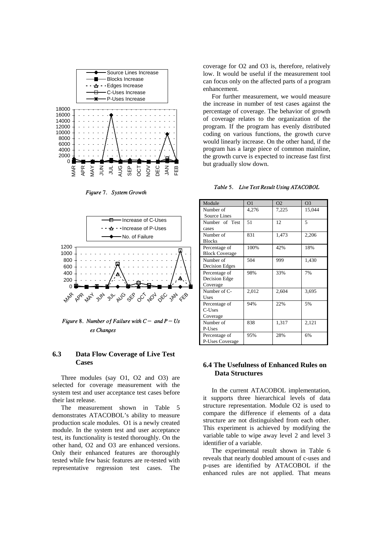

Figure 7. System Growth



Figure 8. Number of Failure with  $C-$  and  $P-Us$ es Chanaes

### **6.3 Data Flow Coverage of Live Test Cases**

Three modules (say O1, O2 and O3) are selected for coverage measurement with the system test and user acceptance test cases before their last release.

The measurement shown in Table 5 demonstrates ATACOBOL's ability to measure production scale modules. O1 is a newly created module. In the system test and user acceptance test, its functionality is tested thoroughly. On the other hand, O2 and O3 are enhanced versions. Only their enhanced features are thoroughly tested while few basic features are re-tested with representative regression test cases. The

coverage for O2 and O3 is, therefore, relatively low. It would be useful if the measurement tool can focus only on the affected parts of a program enhancement.

For further measurement, we would measure the increase in number of test cases against the percentage of coverage. The behavior of growth of coverage relates to the organization of the program. If the program has evenly distributed coding on various functions, the growth curve would linearly increase. On the other hand, if the program has a large piece of common mainline, the growth curve is expected to increase fast first but gradually slow down.

| Module                | O <sub>1</sub> | O <sub>2</sub> | O <sub>3</sub> |
|-----------------------|----------------|----------------|----------------|
| Number of             | 4,276          | 7,225          | 15,044         |
| <b>Source Lines</b>   |                |                |                |
| Number of Test        | 51             | 12             | $\overline{5}$ |
| cases                 |                |                |                |
| Number of             | 831            | 1,473          | 2,206          |
| <b>Blocks</b>         |                |                |                |
| Percentage of         | 100%           | 42%            | 18%            |
| <b>Block Coverage</b> |                |                |                |
| Number of             | 504            | 999            | 1,430          |
| Decision Edges        |                |                |                |
| Percentage of         | 98%            | 33%            | 7%             |
| Decision Edge         |                |                |                |
| Coverage              |                |                |                |
| Number of C-          | 2,012          | 2,604          | 3,695          |
| Uses                  |                |                |                |
| Percentage of         | 94%            | 22%            | 5%             |
| C-Uses                |                |                |                |
| Coverage              |                |                |                |
| Number of             | 838            | 1,317          | 2,121          |
| P-Uses                |                |                |                |
| Percentage of         | 95%            | 28%            | 6%             |
| P-Uses Coverage       |                |                |                |

Table 5. Live Test Result Using ATACOBOL

## **6.4 The Usefulness of Enhanced Rules on Data Structures**

In the current ATACOBOL implementation, it supports three hierarchical levels of data structure representation. Module O2 is used to compare the difference if elements of a data structure are not distinguished from each other. This experiment is achieved by modifying the variable table to wipe away level 2 and level 3 identifier of a variable.

The experimental result shown in Table 6 reveals that nearly doubled amount of c-uses and p-uses are identified by ATACOBOL if the enhanced rules are not applied. That means